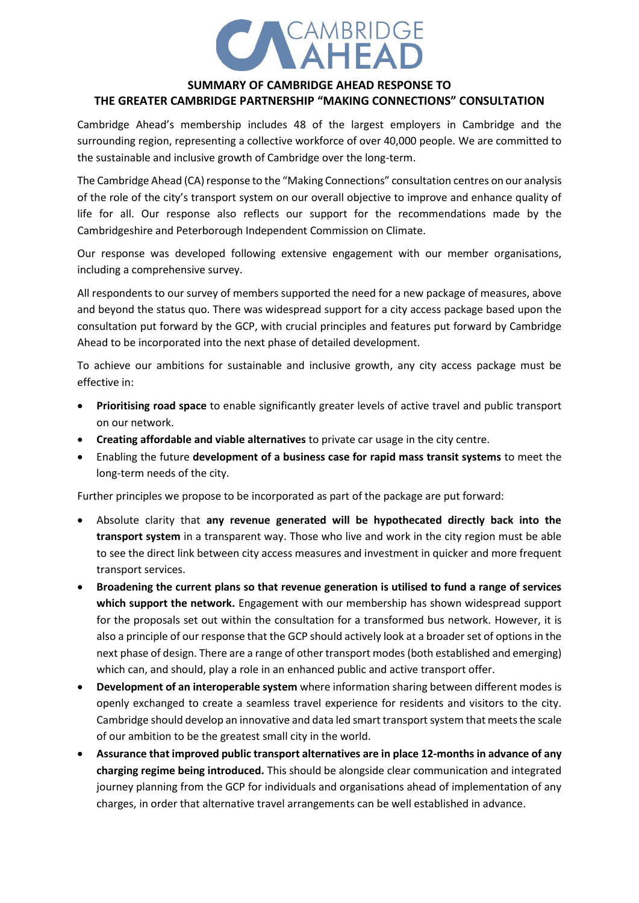

### **SUMMARY OF CAMBRIDGE AHEAD RESPONSE TO**

#### **THE GREATER CAMBRIDGE PARTNERSHIP "MAKING CONNECTIONS" CONSULTATION**

Cambridge Ahead's membership includes 48 of the largest employers in Cambridge and the surrounding region, representing a collective workforce of over 40,000 people. We are committed to the sustainable and inclusive growth of Cambridge over the long-term.

The Cambridge Ahead (CA) response to the "Making Connections" consultation centres on our analysis of the role of the city's transport system on our overall objective to improve and enhance quality of life for all. Our response also reflects our support for the recommendations made by the Cambridgeshire and Peterborough Independent Commission on Climate.

Our response was developed following extensive engagement with our member organisations, including a comprehensive survey.

All respondents to our survey of members supported the need for a new package of measures, above and beyond the status quo. There was widespread support for a city access package based upon the consultation put forward by the GCP, with crucial principles and features put forward by Cambridge Ahead to be incorporated into the next phase of detailed development.

To achieve our ambitions for sustainable and inclusive growth, any city access package must be effective in:

- **Prioritising road space** to enable significantly greater levels of active travel and public transport on our network.
- **Creating affordable and viable alternatives** to private car usage in the city centre.
- Enabling the future **development of a business case for rapid mass transit systems** to meet the long-term needs of the city.

Further principles we propose to be incorporated as part of the package are put forward:

- Absolute clarity that **any revenue generated will be hypothecated directly back into the transport system** in a transparent way. Those who live and work in the city region must be able to see the direct link between city access measures and investment in quicker and more frequent transport services.
- **Broadening the current plans so that revenue generation is utilised to fund a range of services which support the network.** Engagement with our membership has shown widespread support for the proposals set out within the consultation for a transformed bus network. However, it is also a principle of our response that the GCP should actively look at a broader set of options in the next phase of design. There are a range of other transport modes (both established and emerging) which can, and should, play a role in an enhanced public and active transport offer.
- **Development of an interoperable system** where information sharing between different modes is openly exchanged to create a seamless travel experience for residents and visitors to the city. Cambridge should develop an innovative and data led smart transport system that meets the scale of our ambition to be the greatest small city in the world.
- **Assurance that improved public transport alternatives are in place 12-months in advance of any charging regime being introduced.** This should be alongside clear communication and integrated journey planning from the GCP for individuals and organisations ahead of implementation of any charges, in order that alternative travel arrangements can be well established in advance.